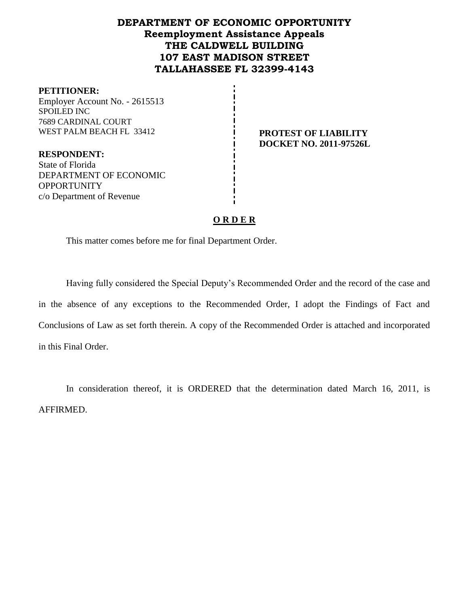# **DEPARTMENT OF ECONOMIC OPPORTUNITY Reemployment Assistance Appeals THE CALDWELL BUILDING 107 EAST MADISON STREET TALLAHASSEE FL 32399-4143**

#### **PETITIONER:**

Employer Account No. - 2615513 SPOILED INC 7689 CARDINAL COURT

**PROTEST OF LIABILITY DOCKET NO. 2011-97526L**

**RESPONDENT:** State of Florida DEPARTMENT OF ECONOMIC **OPPORTUNITY** c/o Department of Revenue

#### **O R D E R**

This matter comes before me for final Department Order.

Having fully considered the Special Deputy's Recommended Order and the record of the case and in the absence of any exceptions to the Recommended Order, I adopt the Findings of Fact and Conclusions of Law as set forth therein. A copy of the Recommended Order is attached and incorporated in this Final Order.

In consideration thereof, it is ORDERED that the determination dated March 16, 2011, is AFFIRMED.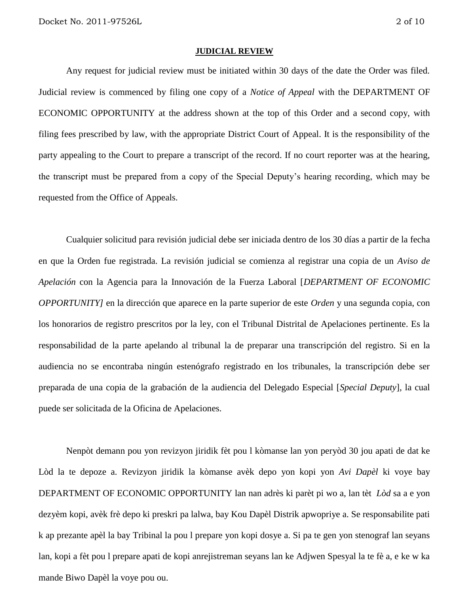#### **JUDICIAL REVIEW**

Any request for judicial review must be initiated within 30 days of the date the Order was filed. Judicial review is commenced by filing one copy of a *Notice of Appeal* with the DEPARTMENT OF ECONOMIC OPPORTUNITY at the address shown at the top of this Order and a second copy, with filing fees prescribed by law, with the appropriate District Court of Appeal. It is the responsibility of the party appealing to the Court to prepare a transcript of the record. If no court reporter was at the hearing, the transcript must be prepared from a copy of the Special Deputy's hearing recording, which may be requested from the Office of Appeals.

Cualquier solicitud para revisión judicial debe ser iniciada dentro de los 30 días a partir de la fecha en que la Orden fue registrada. La revisión judicial se comienza al registrar una copia de un *Aviso de Apelación* con la Agencia para la Innovación de la Fuerza Laboral [*DEPARTMENT OF ECONOMIC OPPORTUNITY]* en la dirección que aparece en la parte superior de este *Orden* y una segunda copia, con los honorarios de registro prescritos por la ley, con el Tribunal Distrital de Apelaciones pertinente. Es la responsabilidad de la parte apelando al tribunal la de preparar una transcripción del registro. Si en la audiencia no se encontraba ningún estenógrafo registrado en los tribunales, la transcripción debe ser preparada de una copia de la grabación de la audiencia del Delegado Especial [*Special Deputy*], la cual puede ser solicitada de la Oficina de Apelaciones.

Nenpòt demann pou yon revizyon jiridik fèt pou l kòmanse lan yon peryòd 30 jou apati de dat ke Lòd la te depoze a. Revizyon jiridik la kòmanse avèk depo yon kopi yon *Avi Dapèl* ki voye bay DEPARTMENT OF ECONOMIC OPPORTUNITY lan nan adrès ki parèt pi wo a, lan tèt *Lòd* sa a e yon dezyèm kopi, avèk frè depo ki preskri pa lalwa, bay Kou Dapèl Distrik apwopriye a. Se responsabilite pati k ap prezante apèl la bay Tribinal la pou l prepare yon kopi dosye a. Si pa te gen yon stenograf lan seyans lan, kopi a fèt pou l prepare apati de kopi anrejistreman seyans lan ke Adjwen Spesyal la te fè a, e ke w ka mande Biwo Dapèl la voye pou ou.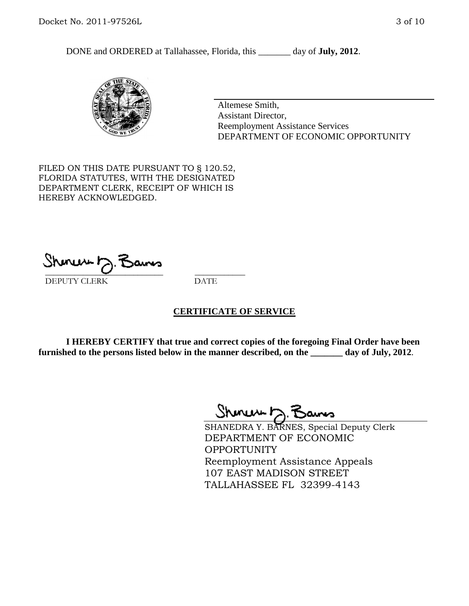DONE and ORDERED at Tallahassee, Florida, this day of **July, 2012**.



Altemese Smith, Assistant Director, Reemployment Assistance Services DEPARTMENT OF ECONOMIC OPPORTUNITY

FILED ON THIS DATE PURSUANT TO § 120.52, FLORIDA STATUTES, WITH THE DESIGNATED DEPARTMENT CLERK, RECEIPT OF WHICH IS HEREBY ACKNOWLEDGED.

\_\_\_\_\_\_\_\_\_\_\_\_\_\_\_\_\_\_\_\_\_\_\_\_\_\_\_\_ \_\_\_\_\_\_\_\_\_\_\_\_ DEPUTY CLERK DATE

#### **CERTIFICATE OF SERVICE**

**I HEREBY CERTIFY that true and correct copies of the foregoing Final Order have been furnished to the persons listed below in the manner described, on the \_\_\_\_\_\_\_ day of July, 2012**.

Shmun 12.Z

SHANEDRA Y. BARNES, Special Deputy Clerk DEPARTMENT OF ECONOMIC OPPORTUNITY Reemployment Assistance Appeals 107 EAST MADISON STREET TALLAHASSEE FL 32399-4143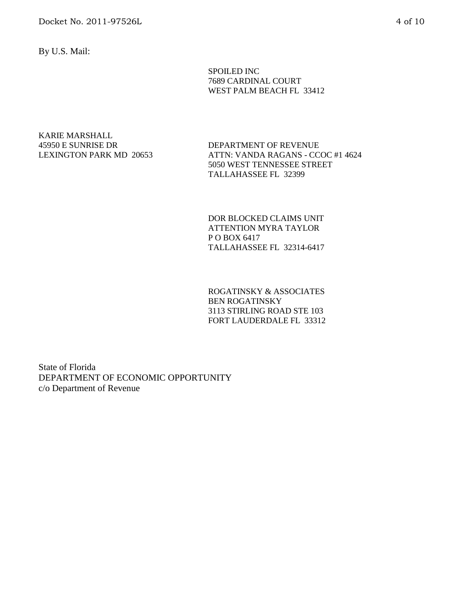By U.S. Mail:

SPOILED INC 7689 CARDINAL COURT WEST PALM BEACH FL 33412

KARIE MARSHALL 45950 E SUNRISE DR LEXINGTON PARK MD 20653

DEPARTMENT OF REVENUE ATTN: VANDA RAGANS - CCOC #1 4624 5050 WEST TENNESSEE STREET TALLAHASSEE FL 32399

DOR BLOCKED CLAIMS UNIT ATTENTION MYRA TAYLOR P O BOX 6417 TALLAHASSEE FL 32314-6417

ROGATINSKY & ASSOCIATES BEN ROGATINSKY 3113 STIRLING ROAD STE 103 FORT LAUDERDALE FL 33312

State of Florida DEPARTMENT OF ECONOMIC OPPORTUNITY c/o Department of Revenue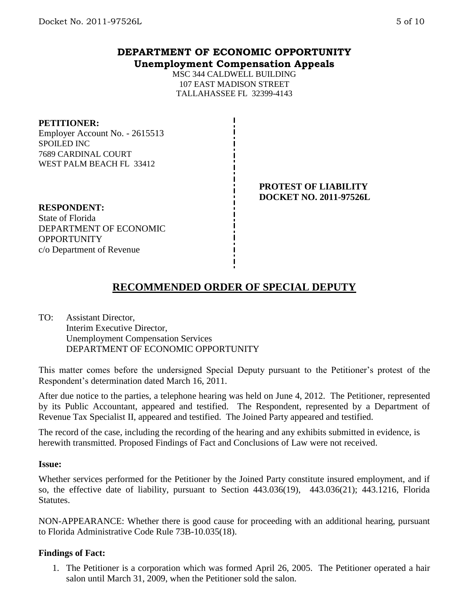## **DEPARTMENT OF ECONOMIC OPPORTUNITY Unemployment Compensation Appeals**

MSC 344 CALDWELL BUILDING 107 EAST MADISON STREET TALLAHASSEE FL 32399-4143

#### **PETITIONER:**

Employer Account No. - 2615513 SPOILED INC 7689 CARDINAL COURT WEST PALM BEACH FL 33412

#### **PROTEST OF LIABILITY DOCKET NO. 2011-97526L**

**RESPONDENT:** State of Florida DEPARTMENT OF ECONOMIC **OPPORTUNITY** c/o Department of Revenue

# **RECOMMENDED ORDER OF SPECIAL DEPUTY**

TO: Assistant Director, Interim Executive Director, Unemployment Compensation Services DEPARTMENT OF ECONOMIC OPPORTUNITY

This matter comes before the undersigned Special Deputy pursuant to the Petitioner's protest of the Respondent's determination dated March 16, 2011.

After due notice to the parties, a telephone hearing was held on June 4, 2012. The Petitioner, represented by its Public Accountant, appeared and testified. The Respondent, represented by a Department of Revenue Tax Specialist II, appeared and testified. The Joined Party appeared and testified.

The record of the case, including the recording of the hearing and any exhibits submitted in evidence, is herewith transmitted. Proposed Findings of Fact and Conclusions of Law were not received.

#### **Issue:**

Whether services performed for the Petitioner by the Joined Party constitute insured employment, and if so, the effective date of liability, pursuant to Section 443.036(19), 443.036(21); 443.1216, Florida Statutes.

NON-APPEARANCE: Whether there is good cause for proceeding with an additional hearing, pursuant to Florida Administrative Code Rule 73B-10.035(18).

## **Findings of Fact:**

1. The Petitioner is a corporation which was formed April 26, 2005. The Petitioner operated a hair salon until March 31, 2009, when the Petitioner sold the salon.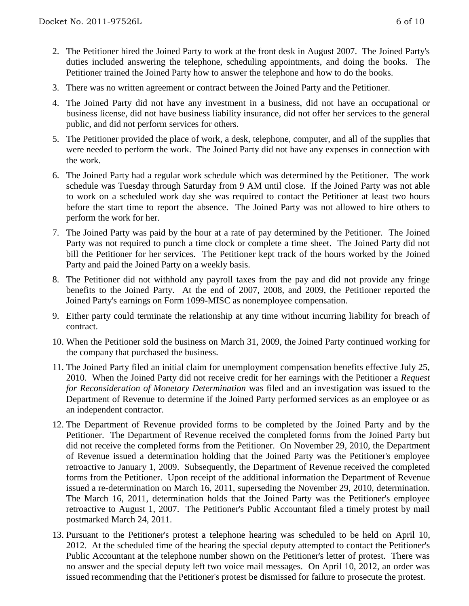- 2. The Petitioner hired the Joined Party to work at the front desk in August 2007. The Joined Party's duties included answering the telephone, scheduling appointments, and doing the books. The Petitioner trained the Joined Party how to answer the telephone and how to do the books.
- 3. There was no written agreement or contract between the Joined Party and the Petitioner.
- 4. The Joined Party did not have any investment in a business, did not have an occupational or business license, did not have business liability insurance, did not offer her services to the general public, and did not perform services for others.
- 5. The Petitioner provided the place of work, a desk, telephone, computer, and all of the supplies that were needed to perform the work. The Joined Party did not have any expenses in connection with the work.
- 6. The Joined Party had a regular work schedule which was determined by the Petitioner. The work schedule was Tuesday through Saturday from 9 AM until close. If the Joined Party was not able to work on a scheduled work day she was required to contact the Petitioner at least two hours before the start time to report the absence. The Joined Party was not allowed to hire others to perform the work for her.
- 7. The Joined Party was paid by the hour at a rate of pay determined by the Petitioner. The Joined Party was not required to punch a time clock or complete a time sheet. The Joined Party did not bill the Petitioner for her services. The Petitioner kept track of the hours worked by the Joined Party and paid the Joined Party on a weekly basis.
- 8. The Petitioner did not withhold any payroll taxes from the pay and did not provide any fringe benefits to the Joined Party. At the end of 2007, 2008, and 2009, the Petitioner reported the Joined Party's earnings on Form 1099-MISC as nonemployee compensation.
- 9. Either party could terminate the relationship at any time without incurring liability for breach of contract.
- 10. When the Petitioner sold the business on March 31, 2009, the Joined Party continued working for the company that purchased the business.
- 11. The Joined Party filed an initial claim for unemployment compensation benefits effective July 25, 2010. When the Joined Party did not receive credit for her earnings with the Petitioner a *Request for Reconsideration of Monetary Determination* was filed and an investigation was issued to the Department of Revenue to determine if the Joined Party performed services as an employee or as an independent contractor.
- 12. The Department of Revenue provided forms to be completed by the Joined Party and by the Petitioner. The Department of Revenue received the completed forms from the Joined Party but did not receive the completed forms from the Petitioner. On November 29, 2010, the Department of Revenue issued a determination holding that the Joined Party was the Petitioner's employee retroactive to January 1, 2009. Subsequently, the Department of Revenue received the completed forms from the Petitioner. Upon receipt of the additional information the Department of Revenue issued a re-determination on March 16, 2011, superseding the November 29, 2010, determination. The March 16, 2011, determination holds that the Joined Party was the Petitioner's employee retroactive to August 1, 2007. The Petitioner's Public Accountant filed a timely protest by mail postmarked March 24, 2011.
- 13. Pursuant to the Petitioner's protest a telephone hearing was scheduled to be held on April 10, 2012. At the scheduled time of the hearing the special deputy attempted to contact the Petitioner's Public Accountant at the telephone number shown on the Petitioner's letter of protest. There was no answer and the special deputy left two voice mail messages. On April 10, 2012, an order was issued recommending that the Petitioner's protest be dismissed for failure to prosecute the protest.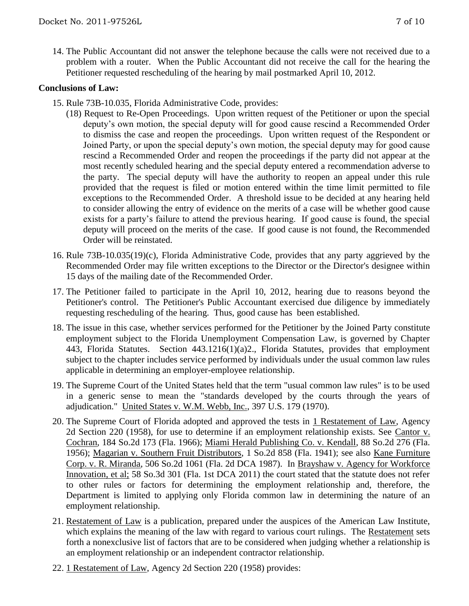14. The Public Accountant did not answer the telephone because the calls were not received due to a problem with a router. When the Public Accountant did not receive the call for the hearing the Petitioner requested rescheduling of the hearing by mail postmarked April 10, 2012.

### **Conclusions of Law:**

- 15. Rule 73B-10.035, Florida Administrative Code, provides:
	- (18) Request to Re-Open Proceedings. Upon written request of the Petitioner or upon the special deputy's own motion, the special deputy will for good cause rescind a Recommended Order to dismiss the case and reopen the proceedings. Upon written request of the Respondent or Joined Party, or upon the special deputy's own motion, the special deputy may for good cause rescind a Recommended Order and reopen the proceedings if the party did not appear at the most recently scheduled hearing and the special deputy entered a recommendation adverse to the party. The special deputy will have the authority to reopen an appeal under this rule provided that the request is filed or motion entered within the time limit permitted to file exceptions to the Recommended Order. A threshold issue to be decided at any hearing held to consider allowing the entry of evidence on the merits of a case will be whether good cause exists for a party's failure to attend the previous hearing. If good cause is found, the special deputy will proceed on the merits of the case. If good cause is not found, the Recommended Order will be reinstated.
- 16. Rule 73B-10.035(19)(c), Florida Administrative Code, provides that any party aggrieved by the Recommended Order may file written exceptions to the Director or the Director's designee within 15 days of the mailing date of the Recommended Order.
- 17. The Petitioner failed to participate in the April 10, 2012, hearing due to reasons beyond the Petitioner's control. The Petitioner's Public Accountant exercised due diligence by immediately requesting rescheduling of the hearing. Thus, good cause has been established.
- 18. The issue in this case, whether services performed for the Petitioner by the Joined Party constitute employment subject to the Florida Unemployment Compensation Law, is governed by Chapter 443, Florida Statutes. Section 443.1216(1)(a)2., Florida Statutes, provides that employment subject to the chapter includes service performed by individuals under the usual common law rules applicable in determining an employer-employee relationship.
- 19. The Supreme Court of the United States held that the term "usual common law rules" is to be used in a generic sense to mean the "standards developed by the courts through the years of adjudication." United States v. W.M. Webb, Inc., 397 U.S. 179 (1970).
- 20. The Supreme Court of Florida adopted and approved the tests in 1 Restatement of Law, Agency 2d Section 220 (1958), for use to determine if an employment relationship exists. See Cantor v. Cochran, 184 So.2d 173 (Fla. 1966); Miami Herald Publishing Co. v. Kendall, 88 So.2d 276 (Fla. 1956); Magarian v. Southern Fruit Distributors, 1 So.2d 858 (Fla. 1941); see also Kane Furniture Corp. v. R. Miranda, 506 So.2d 1061 (Fla. 2d DCA 1987). In Brayshaw v. Agency for Workforce Innovation, et al; 58 So.3d 301 (Fla. 1st DCA 2011) the court stated that the statute does not refer to other rules or factors for determining the employment relationship and, therefore, the Department is limited to applying only Florida common law in determining the nature of an employment relationship.
- 21. Restatement of Law is a publication, prepared under the auspices of the American Law Institute, which explains the meaning of the law with regard to various court rulings. The Restatement sets forth a nonexclusive list of factors that are to be considered when judging whether a relationship is an employment relationship or an independent contractor relationship.
- 22. 1 Restatement of Law, Agency 2d Section 220 (1958) provides: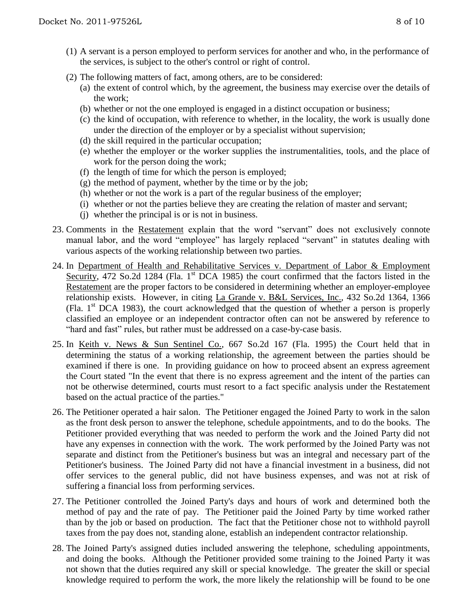- (1) A servant is a person employed to perform services for another and who, in the performance of the services, is subject to the other's control or right of control.
- (2) The following matters of fact, among others, are to be considered:
	- (a) the extent of control which, by the agreement, the business may exercise over the details of the work;
	- (b) whether or not the one employed is engaged in a distinct occupation or business;
	- (c) the kind of occupation, with reference to whether, in the locality, the work is usually done under the direction of the employer or by a specialist without supervision;
	- (d) the skill required in the particular occupation;
	- (e) whether the employer or the worker supplies the instrumentalities, tools, and the place of work for the person doing the work;
	- (f) the length of time for which the person is employed;
	- $(g)$  the method of payment, whether by the time or by the job;
	- (h) whether or not the work is a part of the regular business of the employer;
	- (i) whether or not the parties believe they are creating the relation of master and servant;
	- (j) whether the principal is or is not in business.
- 23. Comments in the Restatement explain that the word "servant" does not exclusively connote manual labor, and the word "employee" has largely replaced "servant" in statutes dealing with various aspects of the working relationship between two parties.
- 24. In Department of Health and Rehabilitative Services v. Department of Labor & Employment Security, 472 So.2d 1284 (Fla.  $1<sup>st</sup>$  DCA 1985) the court confirmed that the factors listed in the Restatement are the proper factors to be considered in determining whether an employer-employee relationship exists. However, in citing La Grande v. B&L Services, Inc., 432 So.2d 1364, 1366 (Fla.  $1<sup>st</sup> DCA$  1983), the court acknowledged that the question of whether a person is properly classified an employee or an independent contractor often can not be answered by reference to "hard and fast" rules, but rather must be addressed on a case-by-case basis.
- 25. In Keith v. News & Sun Sentinel Co., 667 So.2d 167 (Fla. 1995) the Court held that in determining the status of a working relationship, the agreement between the parties should be examined if there is one. In providing guidance on how to proceed absent an express agreement the Court stated "In the event that there is no express agreement and the intent of the parties can not be otherwise determined, courts must resort to a fact specific analysis under the Restatement based on the actual practice of the parties."
- 26. The Petitioner operated a hair salon. The Petitioner engaged the Joined Party to work in the salon as the front desk person to answer the telephone, schedule appointments, and to do the books. The Petitioner provided everything that was needed to perform the work and the Joined Party did not have any expenses in connection with the work. The work performed by the Joined Party was not separate and distinct from the Petitioner's business but was an integral and necessary part of the Petitioner's business. The Joined Party did not have a financial investment in a business, did not offer services to the general public, did not have business expenses, and was not at risk of suffering a financial loss from performing services.
- 27. The Petitioner controlled the Joined Party's days and hours of work and determined both the method of pay and the rate of pay. The Petitioner paid the Joined Party by time worked rather than by the job or based on production. The fact that the Petitioner chose not to withhold payroll taxes from the pay does not, standing alone, establish an independent contractor relationship.
- 28. The Joined Party's assigned duties included answering the telephone, scheduling appointments, and doing the books. Although the Petitioner provided some training to the Joined Party it was not shown that the duties required any skill or special knowledge. The greater the skill or special knowledge required to perform the work, the more likely the relationship will be found to be one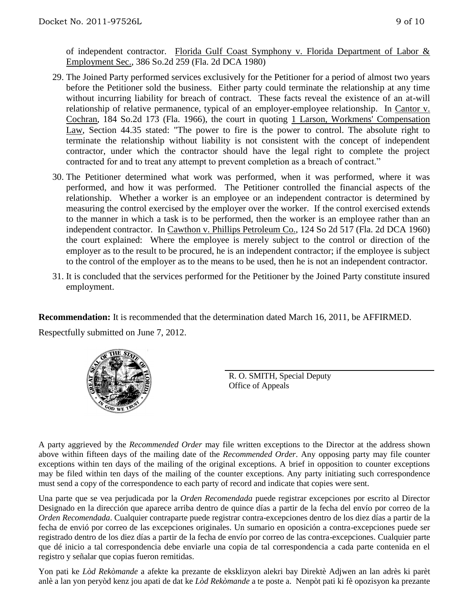of independent contractor. Florida Gulf Coast Symphony v. Florida Department of Labor & Employment Sec., 386 So.2d 259 (Fla. 2d DCA 1980)

- 29. The Joined Party performed services exclusively for the Petitioner for a period of almost two years before the Petitioner sold the business. Either party could terminate the relationship at any time without incurring liability for breach of contract. These facts reveal the existence of an at-will relationship of relative permanence, typical of an employer-employee relationship. In Cantor v. Cochran, 184 So.2d 173 (Fla. 1966), the court in quoting 1 Larson, Workmens' Compensation Law, Section 44.35 stated: "The power to fire is the power to control. The absolute right to terminate the relationship without liability is not consistent with the concept of independent contractor, under which the contractor should have the legal right to complete the project contracted for and to treat any attempt to prevent completion as a breach of contract."
- 30. The Petitioner determined what work was performed, when it was performed, where it was performed, and how it was performed. The Petitioner controlled the financial aspects of the relationship. Whether a worker is an employee or an independent contractor is determined by measuring the control exercised by the employer over the worker. If the control exercised extends to the manner in which a task is to be performed, then the worker is an employee rather than an independent contractor. In Cawthon v. Phillips Petroleum Co., 124 So 2d 517 (Fla. 2d DCA 1960) the court explained: Where the employee is merely subject to the control or direction of the employer as to the result to be procured, he is an independent contractor; if the employee is subject to the control of the employer as to the means to be used, then he is not an independent contractor.
- 31. It is concluded that the services performed for the Petitioner by the Joined Party constitute insured employment.

**Recommendation:** It is recommended that the determination dated March 16, 2011, be AFFIRMED. Respectfully submitted on June 7, 2012.



R. O. SMITH, Special Deputy Office of Appeals

A party aggrieved by the *Recommended Order* may file written exceptions to the Director at the address shown above within fifteen days of the mailing date of the *Recommended Order*. Any opposing party may file counter exceptions within ten days of the mailing of the original exceptions. A brief in opposition to counter exceptions may be filed within ten days of the mailing of the counter exceptions. Any party initiating such correspondence must send a copy of the correspondence to each party of record and indicate that copies were sent.

Una parte que se vea perjudicada por la *Orden Recomendada* puede registrar excepciones por escrito al Director Designado en la dirección que aparece arriba dentro de quince días a partir de la fecha del envío por correo de la *Orden Recomendada*. Cualquier contraparte puede registrar contra-excepciones dentro de los diez días a partir de la fecha de envió por correo de las excepciones originales. Un sumario en oposición a contra-excepciones puede ser registrado dentro de los diez días a partir de la fecha de envío por correo de las contra-excepciones. Cualquier parte que dé inicio a tal correspondencia debe enviarle una copia de tal correspondencia a cada parte contenida en el registro y señalar que copias fueron remitidas.

Yon pati ke *Lòd Rekòmande* a afekte ka prezante de eksklizyon alekri bay Direktè Adjwen an lan adrès ki parèt anlè a lan yon peryòd kenz jou apati de dat ke *Lòd Rekòmande* a te poste a. Nenpòt pati ki fè opozisyon ka prezante